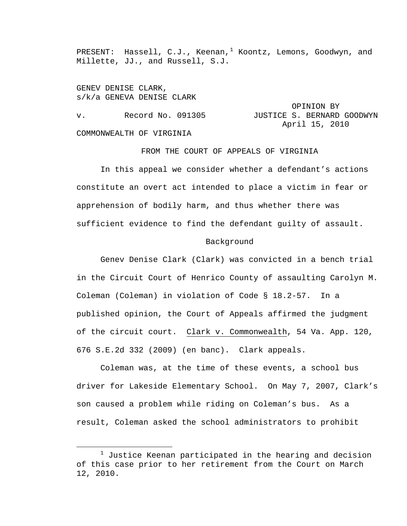PRESENT: Hassell, C.J., Keenan,<sup>[1](#page-0-0)</sup> Koontz, Lemons, Goodwyn, and Millette, JJ., and Russell, S.J.

GENEV DENISE CLARK, s/k/a GENEVA DENISE CLARK

 OPINION BY v. Becord No. 091305 JUSTICE S. BERNARD GOODWYN April 15, 2010 COMMONWEALTH OF VIRGINIA

FROM THE COURT OF APPEALS OF VIRGINIA

 In this appeal we consider whether a defendant's actions constitute an overt act intended to place a victim in fear or apprehension of bodily harm, and thus whether there was sufficient evidence to find the defendant guilty of assault.

## Background

Genev Denise Clark (Clark) was convicted in a bench trial in the Circuit Court of Henrico County of assaulting Carolyn M. Coleman (Coleman) in violation of Code § 18.2-57. In a published opinion, the Court of Appeals affirmed the judgment of the circuit court. Clark v. Commonwealth, 54 Va. App. 120, 676 S.E.2d 332 (2009) (en banc). Clark appeals.

Coleman was, at the time of these events, a school bus driver for Lakeside Elementary School. On May 7, 2007, Clark's son caused a problem while riding on Coleman's bus. As a result, Coleman asked the school administrators to prohibit

<span id="page-0-0"></span><sup>&</sup>lt;u>1</u>  $1$  Justice Keenan participated in the hearing and decision of this case prior to her retirement from the Court on March 12, 2010.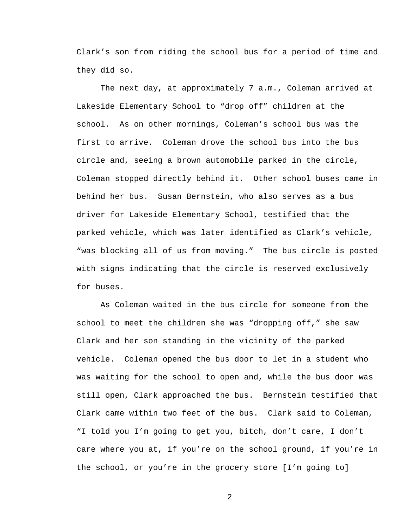Clark's son from riding the school bus for a period of time and they did so.

The next day, at approximately 7 a.m., Coleman arrived at Lakeside Elementary School to "drop off" children at the school. As on other mornings, Coleman's school bus was the first to arrive. Coleman drove the school bus into the bus circle and, seeing a brown automobile parked in the circle, Coleman stopped directly behind it. Other school buses came in behind her bus. Susan Bernstein, who also serves as a bus driver for Lakeside Elementary School, testified that the parked vehicle, which was later identified as Clark's vehicle, "was blocking all of us from moving." The bus circle is posted with signs indicating that the circle is reserved exclusively for buses.

As Coleman waited in the bus circle for someone from the school to meet the children she was "dropping off," she saw Clark and her son standing in the vicinity of the parked vehicle. Coleman opened the bus door to let in a student who was waiting for the school to open and, while the bus door was still open, Clark approached the bus. Bernstein testified that Clark came within two feet of the bus. Clark said to Coleman, "I told you I'm going to get you, bitch, don't care, I don't care where you at, if you're on the school ground, if you're in the school, or you're in the grocery store [I'm going to]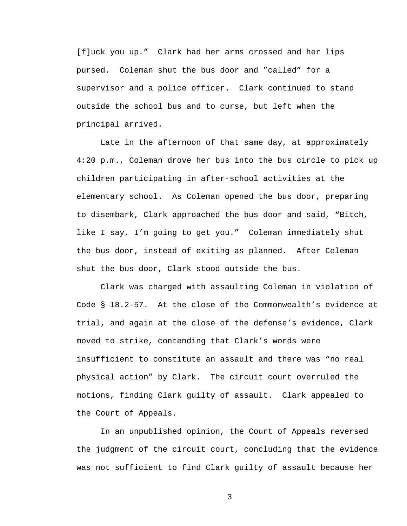[f]uck you up." Clark had her arms crossed and her lips pursed. Coleman shut the bus door and "called" for a supervisor and a police officer. Clark continued to stand outside the school bus and to curse, but left when the principal arrived.

Late in the afternoon of that same day, at approximately 4:20 p.m., Coleman drove her bus into the bus circle to pick up children participating in after-school activities at the elementary school. As Coleman opened the bus door, preparing to disembark, Clark approached the bus door and said, "Bitch, like I say, I'm going to get you." Coleman immediately shut the bus door, instead of exiting as planned. After Coleman shut the bus door, Clark stood outside the bus.

Clark was charged with assaulting Coleman in violation of Code § 18.2-57. At the close of the Commonwealth's evidence at trial, and again at the close of the defense's evidence, Clark moved to strike, contending that Clark's words were insufficient to constitute an assault and there was "no real physical action" by Clark. The circuit court overruled the motions, finding Clark guilty of assault. Clark appealed to the Court of Appeals.

In an unpublished opinion, the Court of Appeals reversed the judgment of the circuit court, concluding that the evidence was not sufficient to find Clark guilty of assault because her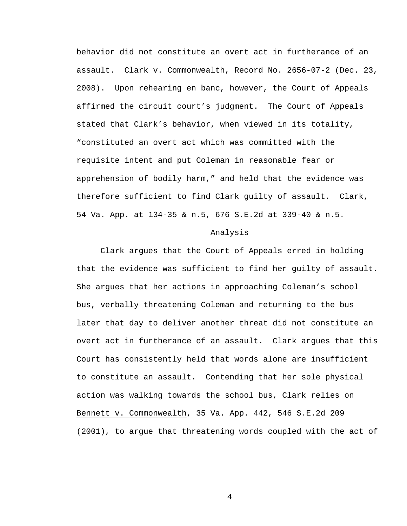behavior did not constitute an overt act in furtherance of an assault. Clark v. Commonwealth, Record No. 2656-07-2 (Dec. 23, 2008). Upon rehearing en banc, however, the Court of Appeals affirmed the circuit court's judgment. The Court of Appeals stated that Clark's behavior, when viewed in its totality, "constituted an overt act which was committed with the requisite intent and put Coleman in reasonable fear or apprehension of bodily harm," and held that the evidence was therefore sufficient to find Clark guilty of assault. Clark, 54 Va. App. at 134-35 & n.5, 676 S.E.2d at 339-40 & n.5.

## Analysis

Clark argues that the Court of Appeals erred in holding that the evidence was sufficient to find her guilty of assault. She argues that her actions in approaching Coleman's school bus, verbally threatening Coleman and returning to the bus later that day to deliver another threat did not constitute an overt act in furtherance of an assault. Clark argues that this Court has consistently held that words alone are insufficient to constitute an assault. Contending that her sole physical action was walking towards the school bus, Clark relies on Bennett v. Commonwealth, 35 Va. App. 442, 546 S.E.2d 209 (2001), to argue that threatening words coupled with the act of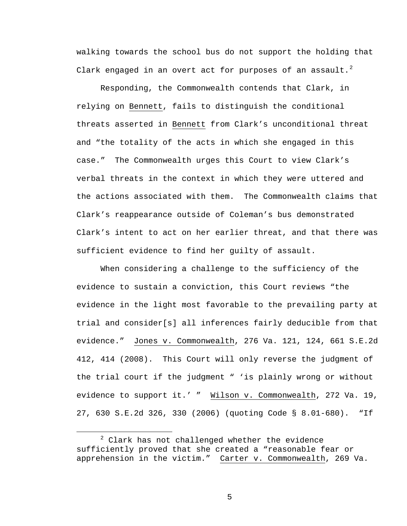walking towards the school bus do not support the holding that Clark engaged in an overt act for purposes of an assault.<sup>[2](#page-4-0)</sup>

Responding, the Commonwealth contends that Clark, in relying on Bennett, fails to distinguish the conditional threats asserted in Bennett from Clark's unconditional threat and "the totality of the acts in which she engaged in this case." The Commonwealth urges this Court to view Clark's verbal threats in the context in which they were uttered and the actions associated with them. The Commonwealth claims that Clark's reappearance outside of Coleman's bus demonstrated Clark's intent to act on her earlier threat, and that there was sufficient evidence to find her guilty of assault.

When considering a challenge to the sufficiency of the evidence to sustain a conviction, this Court reviews "the evidence in the light most favorable to the prevailing party at trial and consider[s] all inferences fairly deducible from that evidence." Jones v. Commonwealth, 276 Va. 121, 124, 661 S.E.2d 412, 414 (2008). This Court will only reverse the judgment of the trial court if the judgment " 'is plainly wrong or without evidence to support it.' " Wilson v. Commonwealth, 272 Va. 19, 27, 630 S.E.2d 326, 330 (2006) (quoting Code § 8.01-680). "If

<span id="page-4-0"></span> <sup>2</sup>  $2$  Clark has not challenged whether the evidence sufficiently proved that she created a "reasonable fear or apprehension in the victim." Carter v. Commonwealth, 269 Va.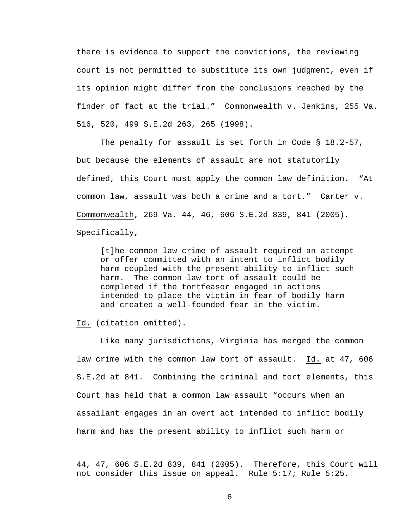there is evidence to support the convictions, the reviewing court is not permitted to substitute its own judgment, even if its opinion might differ from the conclusions reached by the finder of fact at the trial." Commonwealth v. Jenkins, 255 Va. 516, 520, 499 S.E.2d 263, 265 (1998).

The penalty for assault is set forth in Code § 18.2-57, but because the elements of assault are not statutorily defined, this Court must apply the common law definition. "At common law, assault was both a crime and a tort." Carter v. Commonwealth, 269 Va. 44, 46, 606 S.E.2d 839, 841 (2005). Specifically,

[t]he common law crime of assault required an attempt or offer committed with an intent to inflict bodily harm coupled with the present ability to inflict such harm. The common law tort of assault could be completed if the tortfeasor engaged in actions intended to place the victim in fear of bodily harm and created a well-founded fear in the victim.

Id. (citation omitted).

i<br>Li

Like many jurisdictions, Virginia has merged the common law crime with the common law tort of assault. Id. at 47, 606 S.E.2d at 841. Combining the criminal and tort elements, this Court has held that a common law assault "occurs when an assailant engages in an overt act intended to inflict bodily harm and has the present ability to inflict such harm or

<sup>44, 47, 606</sup> S.E.2d 839, 841 (2005). Therefore, this Court will not consider this issue on appeal. Rule 5:17; Rule 5:25.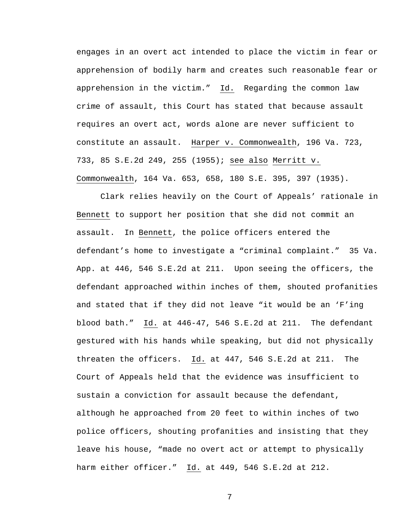engages in an overt act intended to place the victim in fear or apprehension of bodily harm and creates such reasonable fear or apprehension in the victim." Id. Regarding the common law crime of assault, this Court has stated that because assault requires an overt act, words alone are never sufficient to constitute an assault. Harper v. Commonwealth, 196 Va. 723, 733, 85 S.E.2d 249, 255 (1955); see also Merritt v. Commonwealth, 164 Va. 653, 658, 180 S.E. 395, 397 (1935).

Clark relies heavily on the Court of Appeals' rationale in Bennett to support her position that she did not commit an assault. In Bennett, the police officers entered the defendant's home to investigate a "criminal complaint." 35 Va. App. at 446, 546 S.E.2d at 211. Upon seeing the officers, the defendant approached within inches of them, shouted profanities and stated that if they did not leave "it would be an 'F'ing blood bath." Id. at 446-47, 546 S.E.2d at 211. The defendant gestured with his hands while speaking, but did not physically threaten the officers. Id. at 447, 546 S.E.2d at 211. The Court of Appeals held that the evidence was insufficient to sustain a conviction for assault because the defendant, although he approached from 20 feet to within inches of two police officers, shouting profanities and insisting that they leave his house, "made no overt act or attempt to physically harm either officer." Id. at 449, 546 S.E.2d at 212.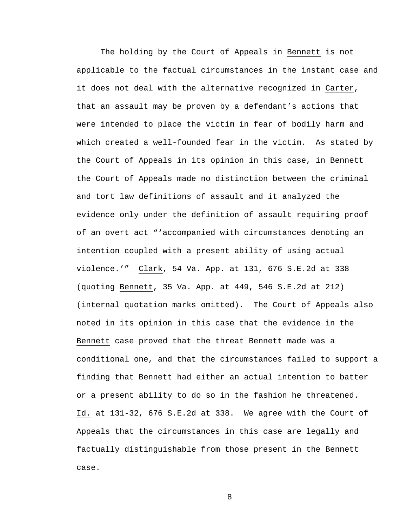The holding by the Court of Appeals in Bennett is not applicable to the factual circumstances in the instant case and it does not deal with the alternative recognized in Carter, that an assault may be proven by a defendant's actions that were intended to place the victim in fear of bodily harm and which created a well-founded fear in the victim. As stated by the Court of Appeals in its opinion in this case, in Bennett the Court of Appeals made no distinction between the criminal and tort law definitions of assault and it analyzed the evidence only under the definition of assault requiring proof of an overt act "'accompanied with circumstances denoting an intention coupled with a present ability of using actual violence.'" Clark, 54 Va. App. at 131, 676 S.E.2d at 338 (quoting Bennett, 35 Va. App. at 449, 546 S.E.2d at 212) (internal quotation marks omitted). The Court of Appeals also noted in its opinion in this case that the evidence in the Bennett case proved that the threat Bennett made was a conditional one, and that the circumstances failed to support a finding that Bennett had either an actual intention to batter or a present ability to do so in the fashion he threatened. Id. at 131-32, 676 S.E.2d at 338. We agree with the Court of Appeals that the circumstances in this case are legally and factually distinguishable from those present in the Bennett case.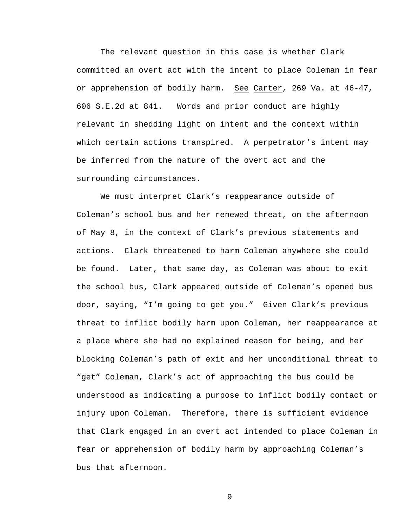The relevant question in this case is whether Clark committed an overt act with the intent to place Coleman in fear or apprehension of bodily harm. See Carter, 269 Va. at 46-47, 606 S.E.2d at 841. Words and prior conduct are highly relevant in shedding light on intent and the context within which certain actions transpired. A perpetrator's intent may be inferred from the nature of the overt act and the surrounding circumstances.

We must interpret Clark's reappearance outside of Coleman's school bus and her renewed threat, on the afternoon of May 8, in the context of Clark's previous statements and actions. Clark threatened to harm Coleman anywhere she could be found. Later, that same day, as Coleman was about to exit the school bus, Clark appeared outside of Coleman's opened bus door, saying, "I'm going to get you." Given Clark's previous threat to inflict bodily harm upon Coleman, her reappearance at a place where she had no explained reason for being, and her blocking Coleman's path of exit and her unconditional threat to "get" Coleman, Clark's act of approaching the bus could be understood as indicating a purpose to inflict bodily contact or injury upon Coleman. Therefore, there is sufficient evidence that Clark engaged in an overt act intended to place Coleman in fear or apprehension of bodily harm by approaching Coleman's bus that afternoon.